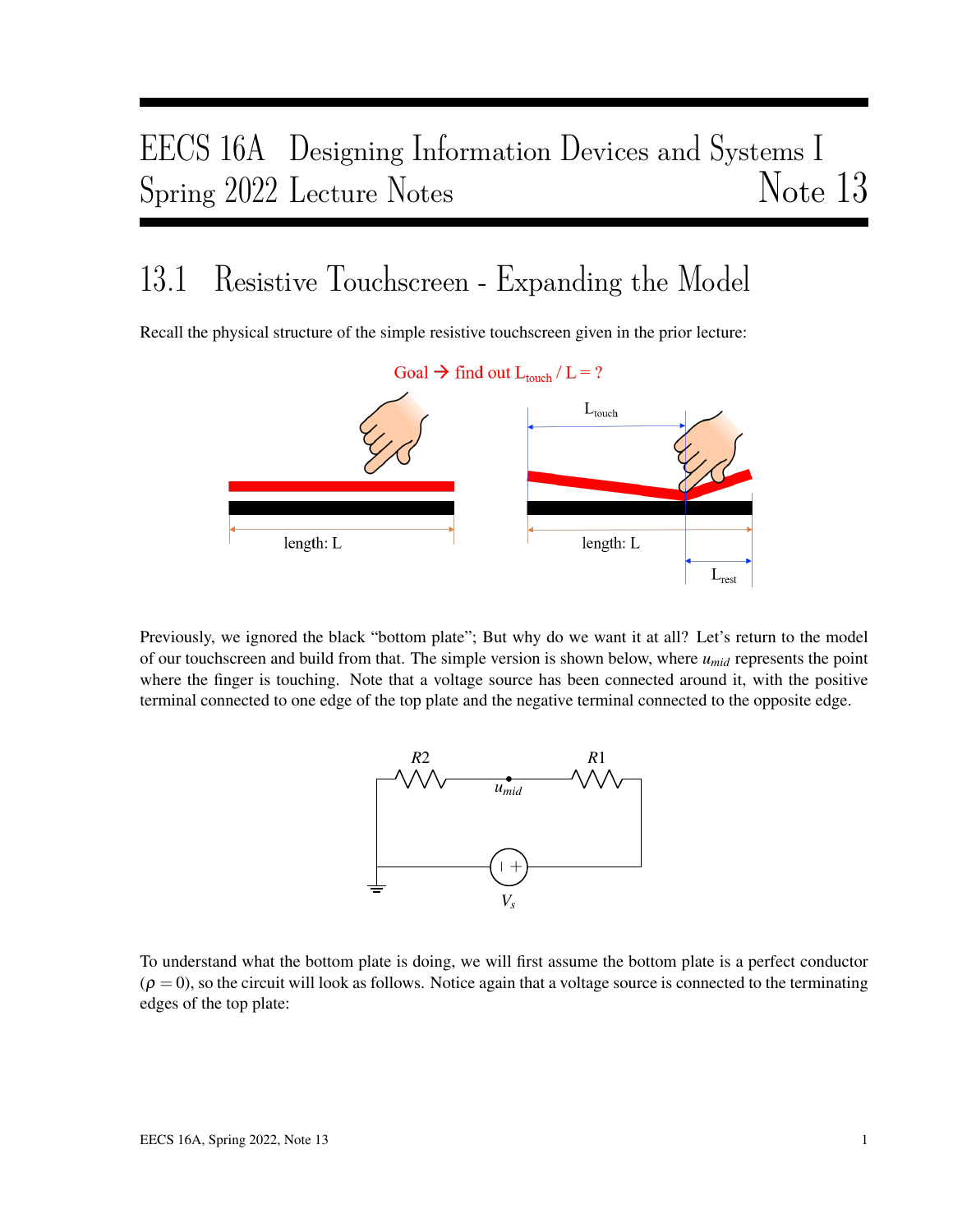## EECS 16A Designing Information Devices and Systems I Spring 2022 Lecture Notes Note 13

## 13.1 Resistive Touchscreen - Expanding the Model

Recall the physical structure of the simple resistive touchscreen given in the prior lecture:



Previously, we ignored the black "bottom plate"; But why do we want it at all? Let's return to the model of our touchscreen and build from that. The simple version is shown below, where *umid* represents the point where the finger is touching. Note that a voltage source has been connected around it, with the positive terminal connected to one edge of the top plate and the negative terminal connected to the opposite edge.



To understand what the bottom plate is doing, we will first assume the bottom plate is a perfect conductor  $(\rho = 0)$ , so the circuit will look as follows. Notice again that a voltage source is connected to the terminating edges of the top plate: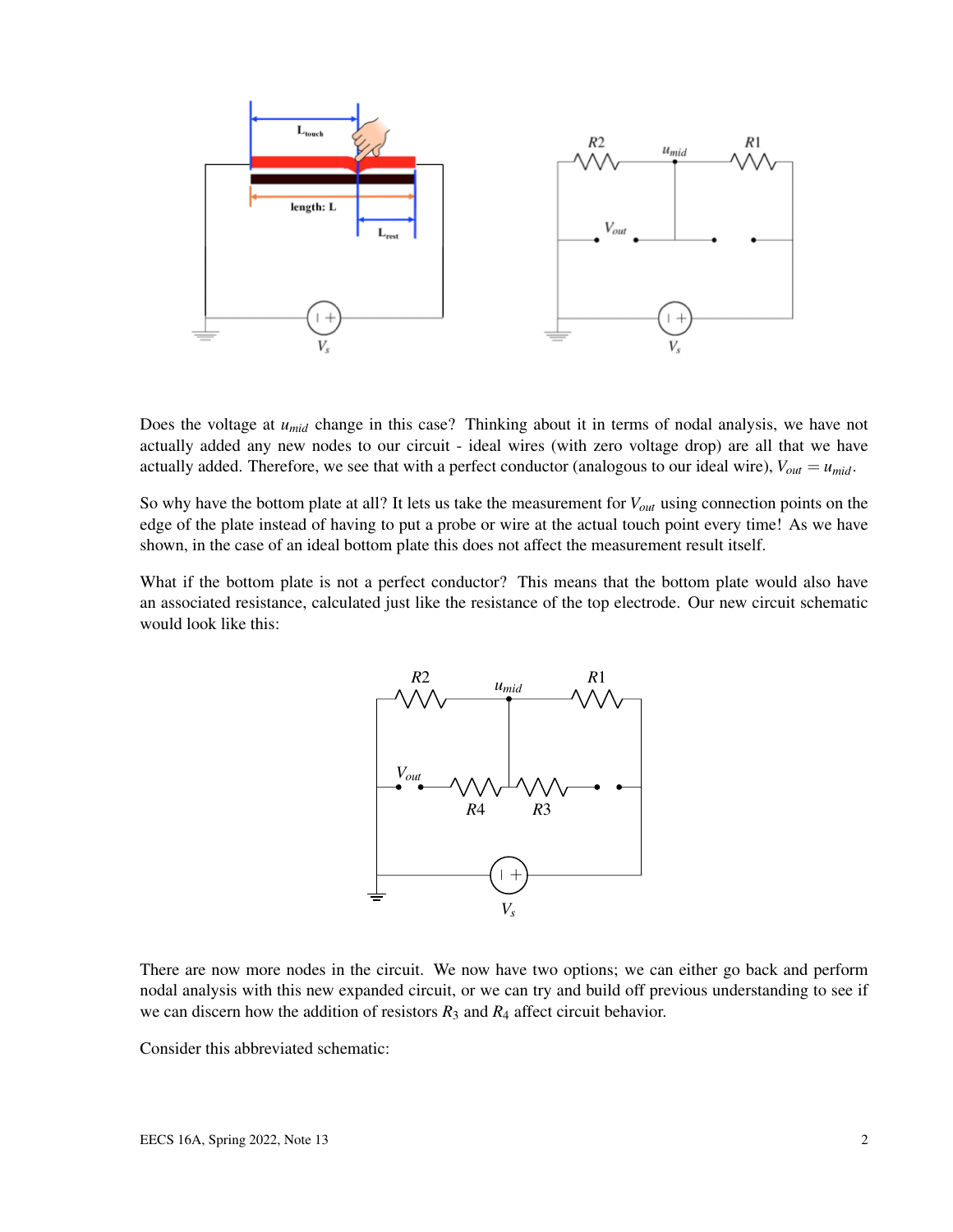

Does the voltage at *umid* change in this case? Thinking about it in terms of nodal analysis, we have not actually added any new nodes to our circuit - ideal wires (with zero voltage drop) are all that we have actually added. Therefore, we see that with a perfect conductor (analogous to our ideal wire),  $V_{out} = u_{mid}$ .

So why have the bottom plate at all? It lets us take the measurement for *Vout* using connection points on the edge of the plate instead of having to put a probe or wire at the actual touch point every time! As we have shown, in the case of an ideal bottom plate this does not affect the measurement result itself.

What if the bottom plate is not a perfect conductor? This means that the bottom plate would also have an associated resistance, calculated just like the resistance of the top electrode. Our new circuit schematic would look like this:



There are now more nodes in the circuit. We now have two options; we can either go back and perform nodal analysis with this new expanded circuit, or we can try and build off previous understanding to see if we can discern how the addition of resistors  $R_3$  and  $R_4$  affect circuit behavior.

Consider this abbreviated schematic: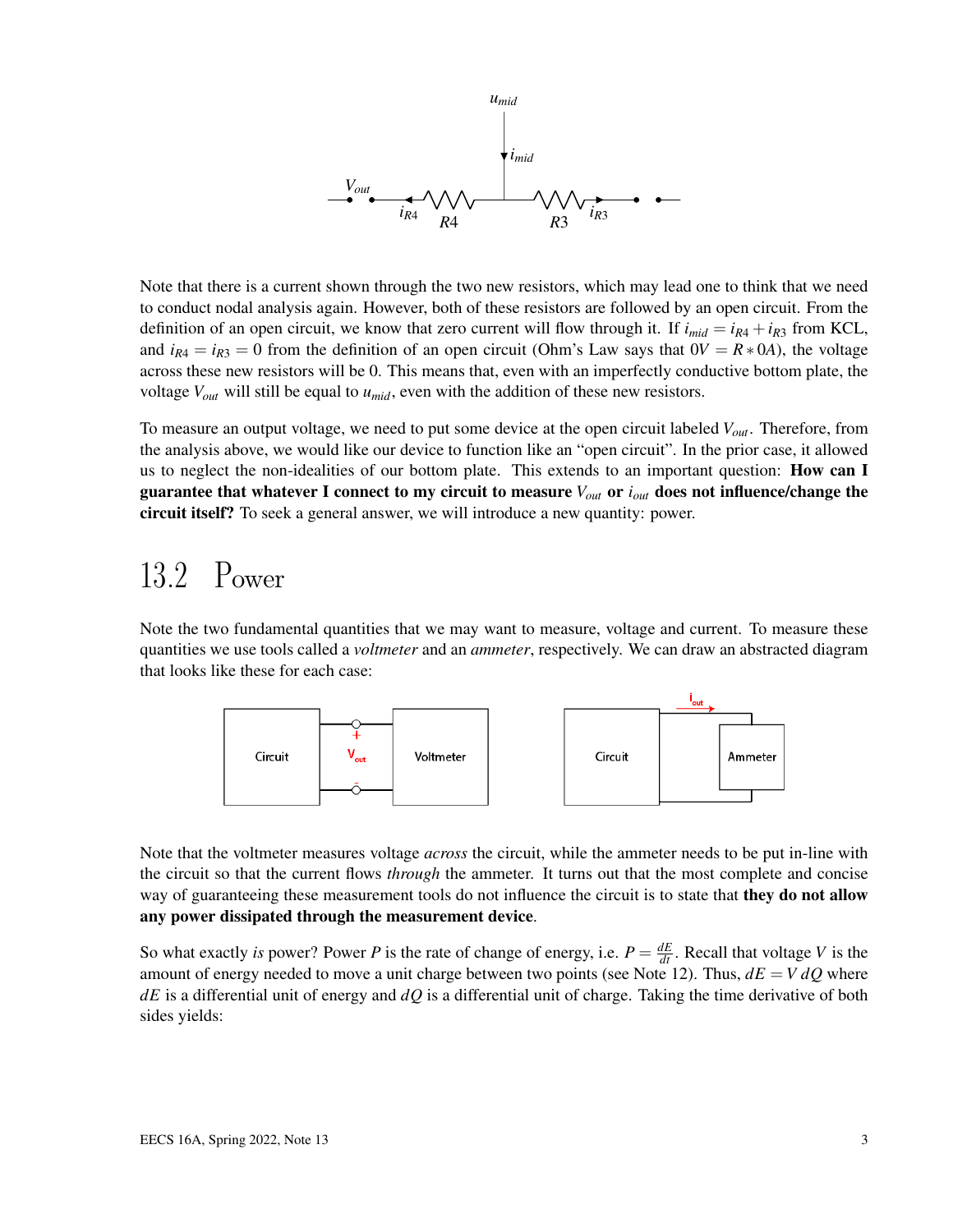

Note that there is a current shown through the two new resistors, which may lead one to think that we need to conduct nodal analysis again. However, both of these resistors are followed by an open circuit. From the definition of an open circuit, we know that zero current will flow through it. If  $i_{mid} = i_{R4} + i_{R3}$  from KCL, and  $i_{R4} = i_{R3} = 0$  from the definition of an open circuit (Ohm's Law says that  $0V = R * 0A$ ), the voltage across these new resistors will be 0. This means that, even with an imperfectly conductive bottom plate, the voltage *Vout* will still be equal to *umid*, even with the addition of these new resistors.

To measure an output voltage, we need to put some device at the open circuit labeled *Vout*. Therefore, from the analysis above, we would like our device to function like an "open circuit". In the prior case, it allowed us to neglect the non-idealities of our bottom plate. This extends to an important question: **How can I** guarantee that whatever I connect to my circuit to measure *Vout* or *iout* does not influence/change the circuit itself? To seek a general answer, we will introduce a new quantity: power.

## 13.2 Power

Note the two fundamental quantities that we may want to measure, voltage and current. To measure these quantities we use tools called a *voltmeter* and an *ammeter*, respectively. We can draw an abstracted diagram that looks like these for each case:



Note that the voltmeter measures voltage *across* the circuit, while the ammeter needs to be put in-line with the circuit so that the current flows *through* the ammeter. It turns out that the most complete and concise way of guaranteeing these measurement tools do not influence the circuit is to state that **they do not allow** any power dissipated through the measurement device.

So what exactly *is* power? Power *P* is the rate of change of energy, i.e.  $P = \frac{dE}{dt}$ . Recall that voltage *V* is the amount of energy needed to move a unit charge between two points (see Note 12). Thus,  $dE = V dQ$  where *dE* is a differential unit of energy and *dQ* is a differential unit of charge. Taking the time derivative of both sides yields: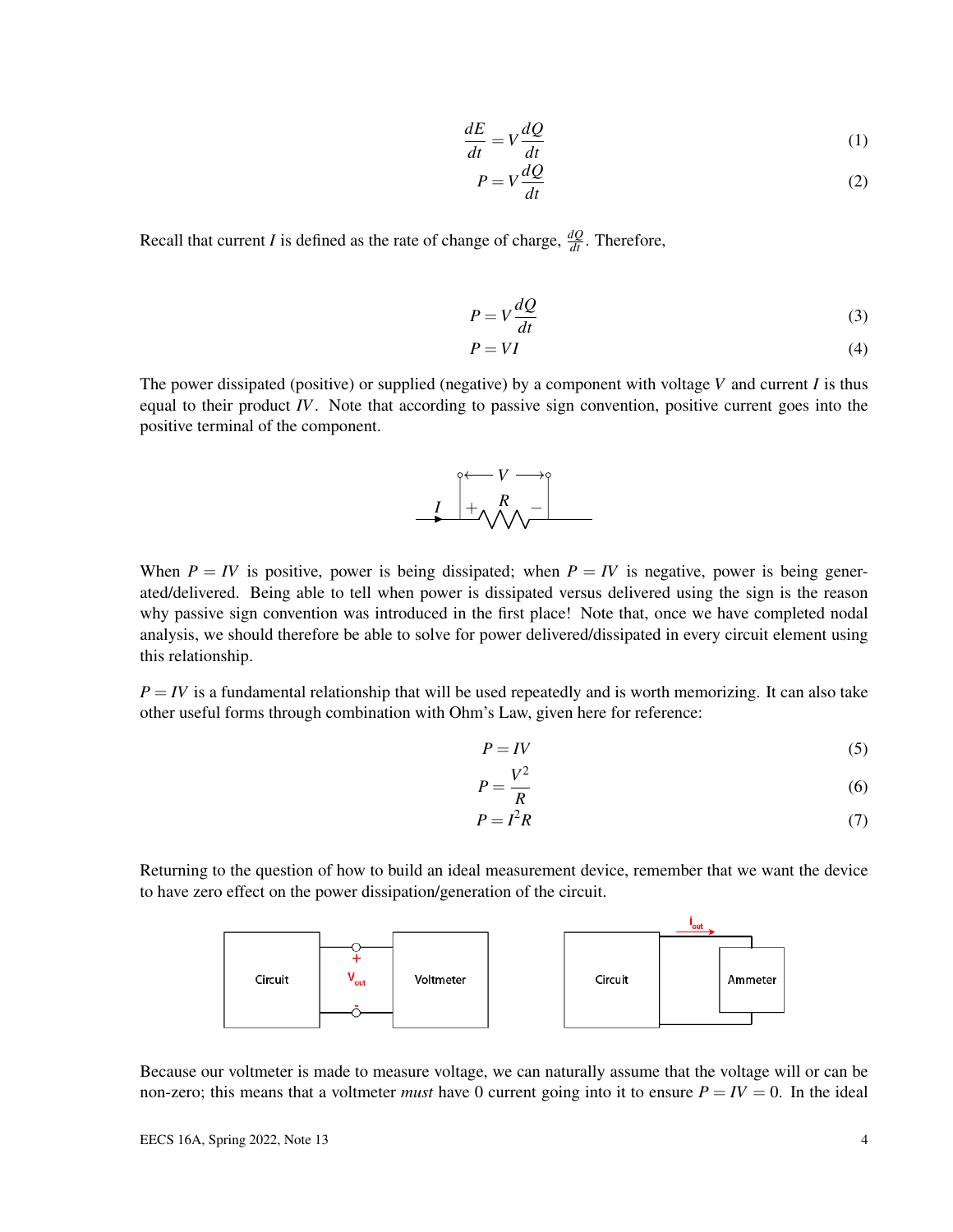$$
\frac{dE}{dt} = V\frac{dQ}{dt} \tag{1}
$$

$$
P = V \frac{dQ}{dt} \tag{2}
$$

Recall that current *I* is defined as the rate of change of charge,  $\frac{dQ}{dt}$ . Therefore,

$$
P = V \frac{dQ}{dt} \tag{3}
$$

$$
P = VI \tag{4}
$$

The power dissipated (positive) or supplied (negative) by a component with voltage *V* and current *I* is thus equal to their product *IV*. Note that according to passive sign convention, positive current goes into the positive terminal of the component.



When  $P = IV$  is positive, power is being dissipated; when  $P = IV$  is negative, power is being generated/delivered. Being able to tell when power is dissipated versus delivered using the sign is the reason why passive sign convention was introduced in the first place! Note that, once we have completed nodal analysis, we should therefore be able to solve for power delivered/dissipated in every circuit element using this relationship.

 $P = IV$  is a fundamental relationship that will be used repeatedly and is worth memorizing. It can also take other useful forms through combination with Ohm's Law, given here for reference:

$$
P = IV \tag{5}
$$

$$
P = \frac{V^2}{R}
$$
 (6)

$$
P = I^2 R \tag{7}
$$

Returning to the question of how to build an ideal measurement device, remember that we want the device to have zero effect on the power dissipation/generation of the circuit.



Because our voltmeter is made to measure voltage, we can naturally assume that the voltage will or can be non-zero; this means that a voltmeter *must* have 0 current going into it to ensure  $P = IV = 0$ . In the ideal